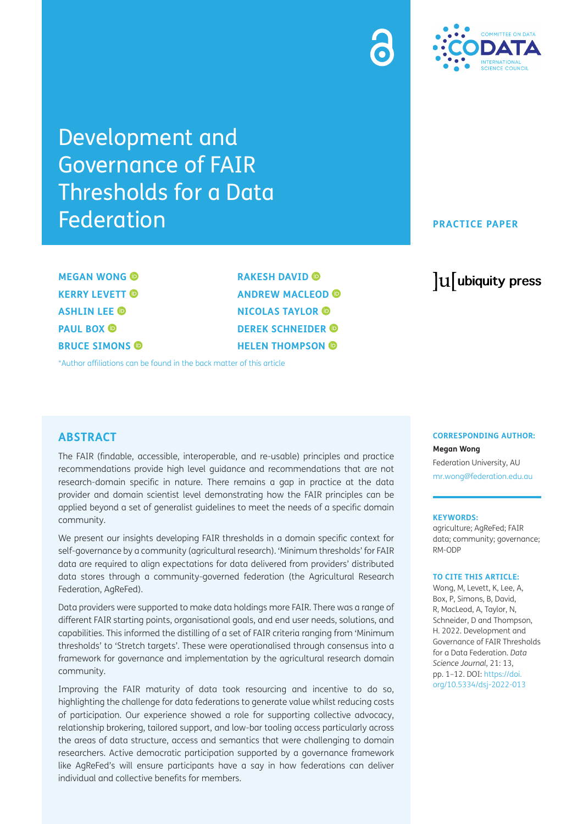

Development and Governance of FAIR Thresholds for a Data Federation

**MEGAN WONG KERRY LEVETT ASHLIN LEE PAUL BOX ® BRUCE SIMONS**  **RAKESH DAVID ANDREW MACLEOD NICOLAS TAYLOR DEREK SCHNEIDER HELEN THOMPSON**

[\\*Author affiliations can be found in the back matter of this article](#page-9-0)

## **ABSTRACT**

The FAIR (findable, accessible, interoperable, and re-usable) principles and practice recommendations provide high level guidance and recommendations that are not research-domain specific in nature. There remains a gap in practice at the data provider and domain scientist level demonstrating how the FAIR principles can be applied beyond a set of generalist guidelines to meet the needs of a specific domain community.

We present our insights developing FAIR thresholds in a domain specific context for self-governance by a community (agricultural research). 'Minimum thresholds' for FAIR data are required to align expectations for data delivered from providers' distributed data stores through a community-governed federation (the Agricultural Research Federation, AgReFed).

Data providers were supported to make data holdings more FAIR. There was a range of different FAIR starting points, organisational goals, and end user needs, solutions, and capabilities. This informed the distilling of a set of FAIR criteria ranging from 'Minimum thresholds' to 'Stretch targets'. These were operationalised through consensus into a framework for governance and implementation by the agricultural research domain community.

Improving the FAIR maturity of data took resourcing and incentive to do so, highlighting the challenge for data federations to generate value whilst reducing costs of participation. Our experience showed a role for supporting collective advocacy, relationship brokering, tailored support, and low-bar tooling access particularly across the areas of data structure, access and semantics that were challenging to domain researchers. Active democratic participation supported by a governance framework like AgReFed's will ensure participants have a say in how federations can deliver individual and collective benefits for members.

#### **PRACTICE PAPER**

# lu ubiquity press

#### **CORRESPONDING AUTHOR:**

**Megan Wong** Federation University, AU [mr.wong@federation.edu.au](mailto:mr.wong@federation.edu.au)

#### **KEYWORDS:**

agriculture; AgReFed; FAIR data; community; governance; RM-ODP

#### **TO CITE THIS ARTICLE:**

Wong, M, Levett, K, Lee, A, Box, P, Simons, B, David, R, MacLeod, A, Taylor, N, Schneider, D and Thompson, H. 2022. Development and Governance of FAIR Thresholds for a Data Federation. *Data Science Journal*, 21: 13, pp. 1–12. DOI: [https://doi.](https://doi.org/10.5334/dsj-2022-013) [org/10.5334/dsj-2022-013](https://doi.org/10.5334/dsj-2022-013)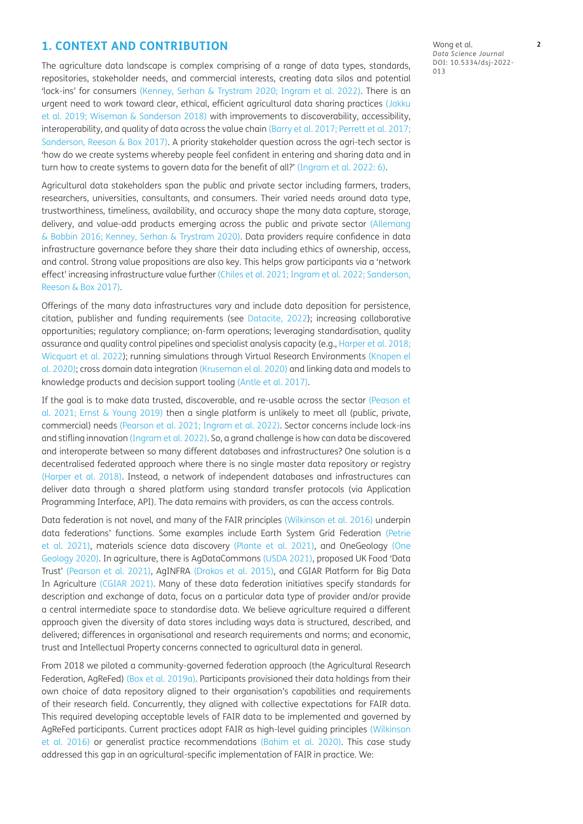#### **1. CONTEXT AND CONTRIBUTION**

The agriculture data landscape is complex comprising of a range of data types, standards, repositories, stakeholder needs, and commercial interests, creating data silos and potential 'lock-ins' for consumers ([Kenney, Serhan & Trystram 2020;](#page-10-0) [Ingram et al. 2022](#page-10-1)). There is an urgent need to work toward clear, ethical, efficient agricultural data sharing practices (Jakku et al. 2019; [Wiseman & Sanderson 2018](#page-11-0)) with improvements to discoverability, accessibility, interoperability, and quality of data across the value chain [\(Barry et al. 2017](#page-10-2); [Perrett et al. 2017](#page-11-1); [Sanderson, Reeson & Box 2017](#page-11-2)). A priority stakeholder question across the agri-tech sector is 'how do we create systems whereby people feel confident in entering and sharing data and in turn how to create systems to govern data for the benefit of all?' [\(Ingram et al. 2022: 6\)](#page-10-1).

Agricultural data stakeholders span the public and private sector including farmers, traders, researchers, universities, consultants, and consumers. Their varied needs around data type, trustworthiness, timeliness, availability, and accuracy shape the many data capture, storage, delivery, and value-add products emerging across the public and private sector ([Allemang](#page-9-1)  [& Bobbin 2016;](#page-9-1) [Kenney, Serhan & Trystram 2020\)](#page-10-0). Data providers require confidence in data infrastructure governance before they share their data including ethics of ownership, access, and control. Strong value propositions are also key. This helps grow participants via a 'network effect' increasing infrastructure value further [\(Chiles et al. 2021;](#page-10-3) [Ingram et al. 2022;](#page-10-1) [Sanderson,](#page-11-2)  [Reeson & Box 2017\)](#page-11-2).

Offerings of the many data infrastructures vary and include data deposition for persistence, citation, publisher and funding requirements (see [Datacite, 2022\)](#page-10-4); increasing collaborative opportunities; regulatory compliance; on-farm operations; leveraging standardisation, quality assurance and quality control pipelines and specialist analysis capacity (e.g., [Harper et al. 2018](#page-11-3); [Wicquart et al. 2022](#page-11-4)); running simulations through Virtual Research Environments [\(Knapen el](#page-10-5)  [al. 2020\)](#page-10-5); cross domain data integration ([Kruseman el al. 2020\)](#page-10-6) and linking data and models to knowledge products and decision support tooling [\(Antle et al. 2017\)](#page-9-2).

If the goal is to make data trusted, discoverable, and re-usable across the sector ([Peason et](#page-11-5)  [al. 2021;](#page-11-5) Ernst & Young 2019) then a single platform is unlikely to meet all (public, private, commercial) needs [\(Pearson et al. 2021;](#page-11-5) [Ingram et al. 2022\)](#page-10-1). Sector concerns include lock-ins and stifling innovation [\(Ingram et al. 2022\)](#page-10-1). So, a grand challenge is how can data be discovered and interoperate between so many different databases and infrastructures? One solution is a decentralised federated approach where there is no single master data repository or registry [\(Harper et al. 2018\)](#page-11-3). Instead, a network of independent databases and infrastructures can deliver data through a shared platform using standard transfer protocols (via Application Programming Interface, API). The data remains with providers, as can the access controls.

Data federation is not novel, and many of the FAIR principles [\(Wilkinson et al. 2016](#page-11-6)) underpin data federations' functions. Some examples include Earth System Grid Federation ([Petrie](#page-11-3)  [et al. 2021](#page-11-3)), materials science data discovery ([Plante et al. 2021](#page-11-7)), and OneGeology [\(One](#page-11-8)  [Geology 2020](#page-11-8)). In agriculture, there is AgDataCommons ([USDA 2021](#page-11-9)), proposed UK Food 'Data Trust' ([Pearson et al. 2021](#page-11-5)), AgINFRA ([Drakos et al. 2015\)](#page-10-7), and CGIAR Platform for Big Data In Agriculture ([CGIAR 2021\)](#page-10-8). Many of these data federation initiatives specify standards for description and exchange of data, focus on a particular data type of provider and/or provide a central intermediate space to standardise data. We believe agriculture required a different approach given the diversity of data stores including ways data is structured, described, and delivered; differences in organisational and research requirements and norms; and economic, trust and Intellectual Property concerns connected to agricultural data in general.

From 2018 we piloted a community-governed federation approach (the Agricultural Research Federation, AgReFed) [\(Box et al. 2019a\)](#page-10-9). Participants provisioned their data holdings from their own choice of data repository aligned to their organisation's capabilities and requirements of their research field. Concurrently, they aligned with collective expectations for FAIR data. This required developing acceptable levels of FAIR data to be implemented and governed by AgReFed participants. Current practices adopt FAIR as high-level guiding principles ([Wilkinson](#page-11-6)  [et al. 2016](#page-11-6)) or generalist practice recommendations [\(Bahim et al. 2020\)](#page-9-3). This case study addressed this gap in an agricultural-specific implementation of FAIR in practice. We:

Wong et al. **2** *Data Science Journal* DOI: 10.5334/dsj-2022- 013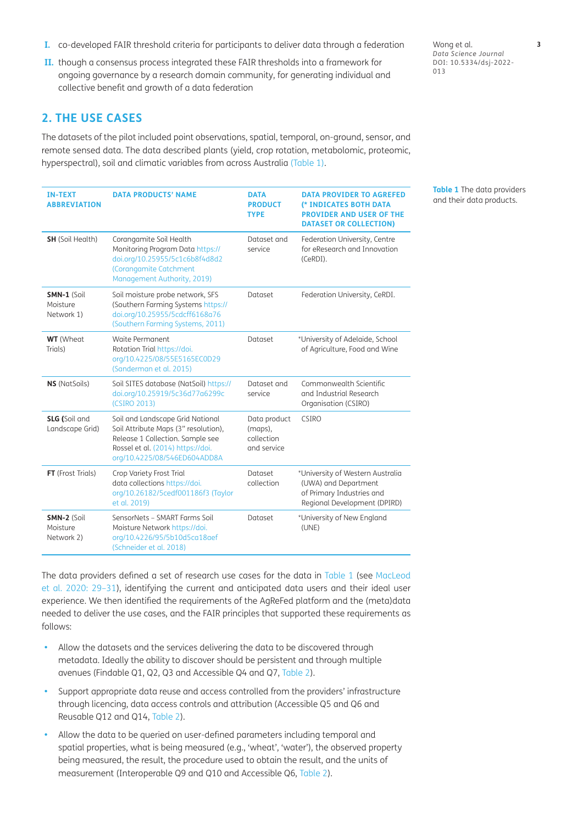- **I.** co-developed FAIR threshold criteria for participants to deliver data through a federation
- **II.** though a consensus process integrated these FAIR thresholds into a framework for ongoing governance by a research domain community, for generating individual and collective benefit and growth of a data federation

## **2. THE USE CASES**

The datasets of the pilot included point observations, spatial, temporal, on-ground, sensor, and remote sensed data. The data described plants (yield, crop rotation, metabolomic, proteomic, hyperspectral), soil and climatic variables from across Australia ([Table 1](#page-2-0)).

| <b>IN-TEXT</b><br><b>ABBREVIATION</b>   | <b>DATA PRODUCTS' NAME</b>                                                                                                                                                        | <b>DATA</b><br><b>PRODUCT</b><br><b>TYPE</b>         | <b>DATA PROVIDER TO AGREFED</b><br>(* INDICATES BOTH DATA<br><b>PROVIDER AND USER OF THE</b><br><b>DATASET OR COLLECTION)</b> |
|-----------------------------------------|-----------------------------------------------------------------------------------------------------------------------------------------------------------------------------------|------------------------------------------------------|-------------------------------------------------------------------------------------------------------------------------------|
| <b>SH</b> (Soil Health)                 | Corangamite Soil Health<br>Monitoring Program Data https://<br>doi.org/10.25955/5c1c6b8f4d8d2<br>(Corangamite Catchment<br>Management Authority, 2019)                            | Dataset and<br>service                               | Federation University, Centre<br>for eResearch and Innovation<br>(CeRDI).                                                     |
| SMN-1 (Soil<br>Moisture<br>Network 1)   | Soil moisture probe network, SFS<br>(Southern Farming Systems https://<br>doi.org/10.25955/5cdcff6168a76<br>(Southern Farming Systems, 2011)                                      | Dataset                                              | Federation University, CeRDI.                                                                                                 |
| <b>WT</b> (Wheat<br>Trials)             | Waite Permanent<br>Rotation Trial https://doi.<br>org/10.4225/08/55E5165EC0D29<br>(Sanderman et al. 2015)                                                                         | Dataset                                              | *University of Adelaide, School<br>of Agriculture, Food and Wine                                                              |
| <b>NS</b> (NatSoils)                    | Soil SITES database (NatSoil) https://<br>doi.org/10.25919/5c36d77a6299c<br>(CSIRO 2013)                                                                                          | Dataset and<br>service                               | Commonwealth Scientific<br>and Industrial Research<br>Organisation (CSIRO)                                                    |
| <b>SLG</b> (Soil and<br>Landscape Grid) | Soil and Landscape Grid National<br>Soil Attribute Maps (3" resolution),<br>Release 1 Collection. Sample see<br>Rossel et al. (2014) https://doi.<br>org/10.4225/08/546ED604ADD8A | Data product<br>(maps),<br>collection<br>and service | <b>CSIRO</b>                                                                                                                  |
| FT (Frost Trials)                       | Crop Variety Frost Trial<br>data collections https://doi.<br>org/10.26182/5cedf001186f3 (Taylor<br>et al. 2019)                                                                   | <b>Dataset</b><br>collection                         | *University of Western Australia<br>(UWA) and Department<br>of Primary Industries and<br>Regional Development (DPIRD)         |
| SMN-2 (Soil<br>Moisture<br>Network 2)   | SensorNets - SMART Farms Soil<br>Moisture Network https://doi.<br>org/10.4226/95/5b10d5ca18aef<br>(Schneider et al. 2018)                                                         | Dataset                                              | *University of New England<br>(UNE)                                                                                           |

The data providers defined a set of research use cases for the data in [Table 1](#page-2-0) (see [MacLeod](#page-11-10)  [et al. 2020: 29–31\)](#page-11-10), identifying the current and anticipated data users and their ideal user experience. We then identified the requirements of the AgReFed platform and the (meta)data needed to deliver the use cases, and the FAIR principles that supported these requirements as follows:

- Allow the datasets and the services delivering the data to be discovered through metadata. Ideally the ability to discover should be persistent and through multiple avenues (Findable Q1, Q2, Q3 and Accessible Q4 and Q7, [Table 2\)](#page-3-0).
- **•**  Support appropriate data reuse and access controlled from the providers' infrastructure through licencing, data access controls and attribution (Accessible Q5 and Q6 and Reusable Q12 and Q14, [Table 2](#page-3-0)).
- Allow the data to be queried on user-defined parameters including temporal and spatial properties, what is being measured (e.g., 'wheat', 'water'), the observed property being measured, the result, the procedure used to obtain the result, and the units of measurement (Interoperable Q9 and Q10 and Accessible Q6, [Table 2\)](#page-3-0).

Wong et al. **3** *Data Science Journal* DOI: 10.5334/dsj-2022- 013

<span id="page-2-0"></span>**Table 1** The data providers and their data products.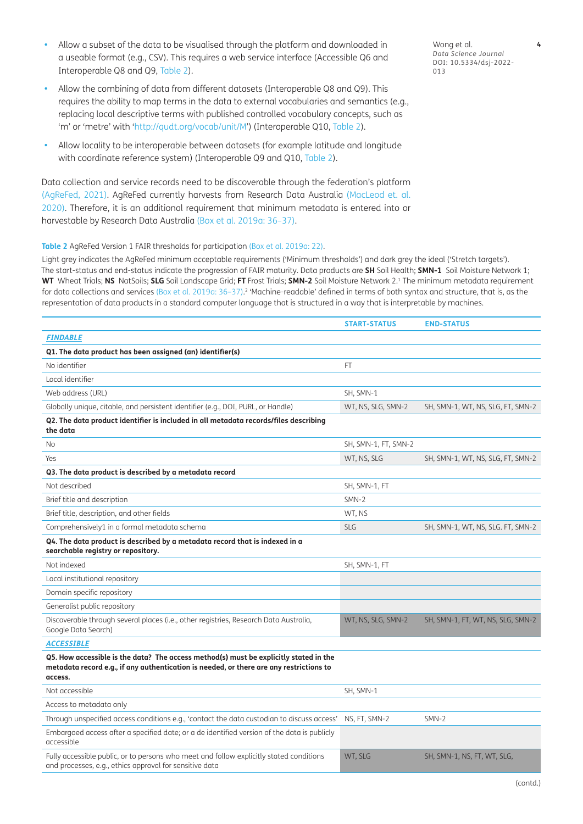- Allow a subset of the data to be visualised through the platform and downloaded in a useable format (e.g., CSV). This requires a web service interface (Accessible Q6 and Interoperable Q8 and Q9, [Table 2](#page-3-0)).
- Allow the combining of data from different datasets (Interoperable Q8 and Q9). This requires the ability to map terms in the data to external vocabularies and semantics (e.g., replacing local descriptive terms with published controlled vocabulary concepts, such as 'm' or 'metre' with ['http://qudt.org/vocab/unit/M'](http://qudt.org/vocab/unit/M)) (Interoperable Q10, [Table 2\)](#page-3-0).
- Allow locality to be interoperable between datasets (for example latitude and longitude with coordinate reference system) (Interoperable Q9 and Q10, [Table 2\)](#page-3-0).

Data collection and service records need to be discoverable through the federation's platform [\(AgReFed, 2021](#page-9-4)). AgReFed currently harvests from Research Data Australia ([MacLeod et. al.](#page-11-10)  [2020](#page-11-10)). Therefore, it is an additional requirement that minimum metadata is entered into or harvestable by Research Data Australia [\(Box et al. 2019a: 36–37](#page-10-9)).

#### <span id="page-3-0"></span>**Table 2** AgReFed Version 1 FAIR thresholds for participation ([Box et al. 2019a](#page-10-9): 22).

Light grey indicates the AgReFed minimum acceptable requirements ('Minimum thresholds') and dark grey the ideal ('Stretch targets'). The start-status and end-status indicate the progression of FAIR maturity. Data products are **SH** Soil Health; **SMN-1** Soil Moisture Network 1; **WT** Wheat Trials; **NS** NatSoils; **SLG** Soil Landscape Grid; **FT** Frost Trials; **SMN-2** Soil Moisture Network 2.1 The minimum metadata requirement for data collections and services [\(Box et al. 2019a: 36–37\)](#page-10-9).<sup>2</sup> 'Machine-readable' defined in terms of both syntax and structure, that is, as the representation of data products in a standard computer language that is structured in a way that is interpretable by machines.

| <b>START-STATUS</b>  | <b>END-STATUS</b>                 |
|----------------------|-----------------------------------|
|                      |                                   |
|                      |                                   |
| FT.                  |                                   |
|                      |                                   |
| SH, SMN-1            |                                   |
| WT, NS, SLG, SMN-2   | SH, SMN-1, WT, NS, SLG, FT, SMN-2 |
|                      |                                   |
| SH, SMN-1, FT, SMN-2 |                                   |
| WT, NS, SLG          | SH, SMN-1, WT, NS, SLG, FT, SMN-2 |
|                      |                                   |
| SH, SMN-1, FT        |                                   |
| SMN-2                |                                   |
| WT, NS               |                                   |
| <b>SLG</b>           | SH, SMN-1, WT, NS, SLG. FT, SMN-2 |
|                      |                                   |
| SH, SMN-1, FT        |                                   |
|                      |                                   |
|                      |                                   |
|                      |                                   |
| WT, NS, SLG, SMN-2   | SH, SMN-1, FT, WT, NS, SLG, SMN-2 |
|                      |                                   |
|                      |                                   |
| SH, SMN-1            |                                   |
|                      |                                   |
| NS, FT, SMN-2        | SMN-2                             |
|                      |                                   |
| WT, SLG              | SH, SMN-1, NS, FT, WT, SLG,       |
|                      |                                   |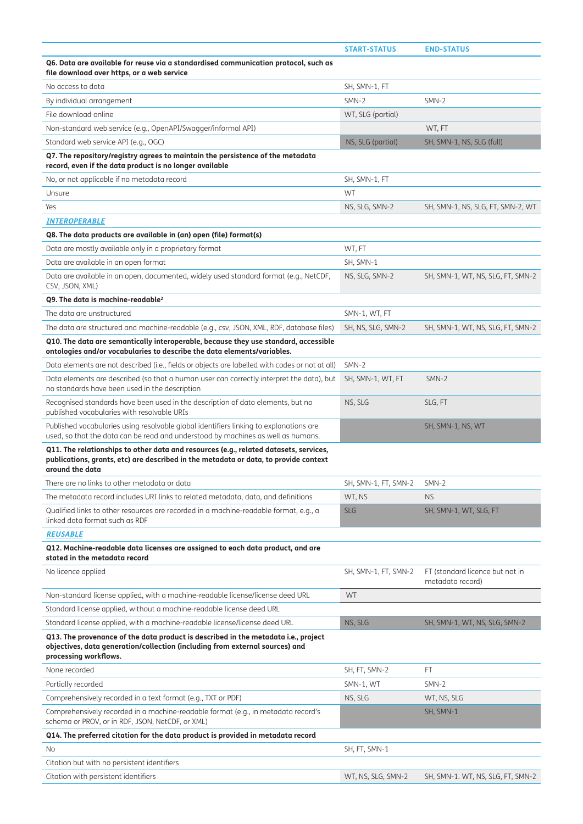|                                                                                                                                                                                                  | <b>START-STATUS</b>  | <b>END-STATUS</b>                                   |
|--------------------------------------------------------------------------------------------------------------------------------------------------------------------------------------------------|----------------------|-----------------------------------------------------|
| Q6. Data are available for reuse via a standardised communication protocol, such as<br>file download over https, or a web service                                                                |                      |                                                     |
| No access to data                                                                                                                                                                                | SH, SMN-1, FT        |                                                     |
| By individual arrangement                                                                                                                                                                        | SMN-2                | SMN-2                                               |
| File download online                                                                                                                                                                             | WT, SLG (partial)    |                                                     |
| Non-standard web service (e.g., OpenAPI/Swagger/informal API)                                                                                                                                    |                      | WT, FT                                              |
| Standard web service API (e.g., OGC)                                                                                                                                                             | NS, SLG (partial)    | SH, SMN-1, NS, SLG (full)                           |
| Q7. The repository/registry agrees to maintain the persistence of the metadata<br>record, even if the data product is no longer available                                                        |                      |                                                     |
| No, or not applicable if no metadata record                                                                                                                                                      | SH, SMN-1, FT        |                                                     |
| Unsure                                                                                                                                                                                           | <b>WT</b>            |                                                     |
| Yes                                                                                                                                                                                              | NS, SLG, SMN-2       | SH, SMN-1, NS, SLG, FT, SMN-2, WT                   |
| <b>INTEROPERABLE</b>                                                                                                                                                                             |                      |                                                     |
| Q8. The data products are available in (an) open (file) format(s)                                                                                                                                |                      |                                                     |
| Data are mostly available only in a proprietary format                                                                                                                                           | WT, FT               |                                                     |
| Data are available in an open format                                                                                                                                                             | SH, SMN-1            |                                                     |
| Data are available in an open, documented, widely used standard format (e.g., NetCDF,<br>CSV, JSON, XML)                                                                                         | NS, SLG, SMN-2       | SH, SMN-1, WT, NS, SLG, FT, SMN-2                   |
| Q9. The data is machine-readable <sup>2</sup>                                                                                                                                                    |                      |                                                     |
| The data are unstructured                                                                                                                                                                        | SMN-1, WT, FT        |                                                     |
| The data are structured and machine-readable (e.g., csv, JSON, XML, RDF, database files)                                                                                                         | SH, NS, SLG, SMN-2   | SH, SMN-1, WT, NS, SLG, FT, SMN-2                   |
| Q10. The data are semantically interoperable, because they use standard, accessible<br>ontologies and/or vocabularies to describe the data elements/variables.                                   |                      |                                                     |
| Data elements are not described (i.e., fields or objects are labelled with codes or not at all)                                                                                                  | SMN-2                |                                                     |
| Data elements are described (so that a human user can correctly interpret the data), but<br>no standards have been used in the description                                                       | SH, SMN-1, WT, FT    | SMN-2                                               |
| Recognised standards have been used in the description of data elements, but no<br>published vocabularies with resolvable URIs                                                                   | NS, SLG              | SLG, FT                                             |
| Published vocabularies using resolvable global identifiers linking to explanations are<br>used, so that the data can be read and understood by machines as well as humans.                       |                      | SH, SMN-1, NS, WT                                   |
| Q11. The relationships to other data and resources (e.g., related datasets, services,<br>publications, grants, etc) are described in the metadata or data, to provide context<br>around the data |                      |                                                     |
| There are no links to other metadata or data                                                                                                                                                     | SH, SMN-1, FT, SMN-2 | SMN-2                                               |
| The metadata record includes URI links to related metadata, data, and definitions                                                                                                                | WT. NS               | <b>NS</b>                                           |
| Qualified links to other resources are recorded in a machine-readable format, e.g., a<br>linked data format such as RDF                                                                          | <b>SLG</b>           | SH, SMN-1, WT, SLG, FT                              |
| <b>REUSABLE</b>                                                                                                                                                                                  |                      |                                                     |
| Q12. Machine-readable data licenses are assigned to each data product, and are<br>stated in the metadata record                                                                                  |                      |                                                     |
| No licence applied                                                                                                                                                                               | SH, SMN-1, FT, SMN-2 | FT (standard licence but not in<br>metadata record) |
| Non-standard license applied, with a machine-readable license/license deed URL                                                                                                                   | <b>WT</b>            |                                                     |
| Standard license applied, without a machine-readable license deed URL                                                                                                                            |                      |                                                     |
| Standard license applied, with a machine-readable license/license deed URL                                                                                                                       | NS, SLG              | SH, SMN-1, WT, NS, SLG, SMN-2                       |
| Q13. The provenance of the data product is described in the metadata i.e., project<br>objectives, data generation/collection (including from external sources) and<br>processing workflows.      |                      |                                                     |
| None recorded                                                                                                                                                                                    | SH, FT, SMN-2        | FT.                                                 |
| Partially recorded                                                                                                                                                                               | SMN-1, WT            | SMN-2                                               |
| Comprehensively recorded in a text format (e.g., TXT or PDF)                                                                                                                                     | NS, SLG              | WT, NS, SLG                                         |
| Comprehensively recorded in a machine-readable format (e.g., in metadata record's<br>schema or PROV, or in RDF, JSON, NetCDF, or XML)                                                            |                      | SH, SMN-1                                           |
| Q14. The preferred citation for the data product is provided in metadata record                                                                                                                  |                      |                                                     |
| No                                                                                                                                                                                               | SH, FT, SMN-1        |                                                     |
| Citation but with no persistent identifiers                                                                                                                                                      |                      |                                                     |
| Citation with persistent identifiers                                                                                                                                                             | WT, NS, SLG, SMN-2   | SH, SMN-1. WT, NS, SLG, FT, SMN-2                   |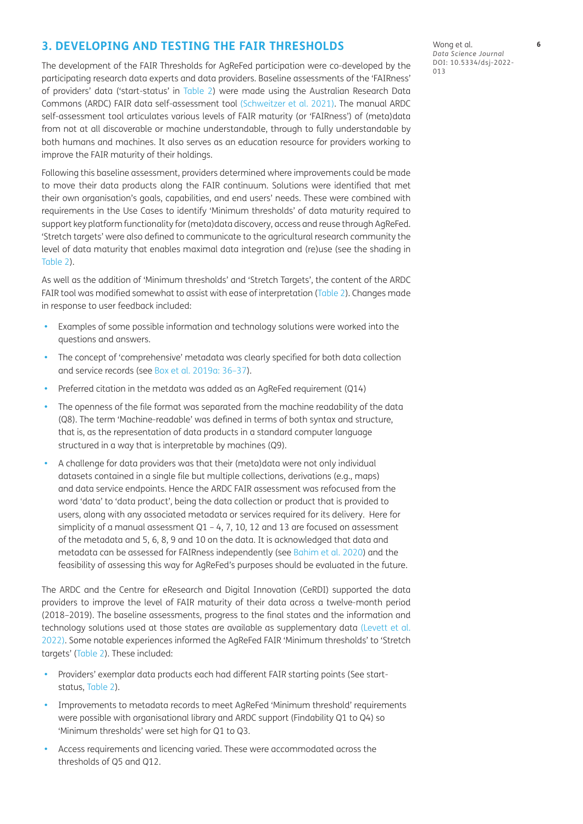## **3. DEVELOPING AND TESTING THE FAIR THRESHOLDS**

The development of the FAIR Thresholds for AgReFed participation were co-developed by the participating research data experts and data providers. Baseline assessments of the 'FAIRness' of providers' data ('start-status' in [Table 2](#page-3-0)) were made using the Australian Research Data Commons (ARDC) FAIR data self-assessment tool [\(Schweitzer et al. 2021](#page-11-16)). The manual ARDC self-assessment tool articulates various levels of FAIR maturity (or 'FAIRness') of (meta)data from not at all discoverable or machine understandable, through to fully understandable by both humans and machines. It also serves as an education resource for providers working to improve the FAIR maturity of their holdings.

Following this baseline assessment, providers determined where improvements could be made to move their data products along the FAIR continuum. Solutions were identified that met their own organisation's goals, capabilities, and end users' needs. These were combined with requirements in the Use Cases to identify 'Minimum thresholds' of data maturity required to support key platform functionality for (meta)data discovery, access and reuse through AgReFed. 'Stretch targets' were also defined to communicate to the agricultural research community the level of data maturity that enables maximal data integration and (re)use (see the shading in [Table 2](#page-3-0)).

As well as the addition of 'Minimum thresholds' and 'Stretch Targets', the content of the ARDC FAIR tool was modified somewhat to assist with ease of interpretation ([Table 2\)](#page-3-0). Changes made in response to user feedback included:

- Examples of some possible information and technology solutions were worked into the questions and answers.
- The concept of 'comprehensive' metadata was clearly specified for both data collection and service records (see [Box et al. 2019a: 36–37](#page-10-9)).
- Preferred citation in the metdata was added as an AgReFed requirement (Q14)
- The openness of the file format was separated from the machine readability of the data (Q8). The term 'Machine-readable' was defined in terms of both syntax and structure, that is, as the representation of data products in a standard computer language structured in a way that is interpretable by machines (Q9).
- A challenge for data providers was that their (meta)data were not only individual datasets contained in a single file but multiple collections, derivations (e.g., maps) and data service endpoints. Hence the ARDC FAIR assessment was refocused from the word 'data' to 'data product', being the data collection or product that is provided to users, along with any associated metadata or services required for its delivery. Here for simplicity of a manual assessment  $Q1 - 4$ , 7, 10, 12 and 13 are focused on assessment of the metadata and 5, 6, 8, 9 and 10 on the data. It is acknowledged that data and metadata can be assessed for FAIRness independently (see [Bahim et al. 2020\)](#page-9-3) and the feasibility of assessing this way for AgReFed's purposes should be evaluated in the future.

The ARDC and the Centre for eResearch and Digital Innovation (CeRDI) supported the data providers to improve the level of FAIR maturity of their data across a twelve-month period (2018–2019). The baseline assessments, progress to the final states and the information and technology solutions used at those states are available as supplementary data [\(Levett et al.](#page-10-12)  [2022](#page-10-12)). Some notable experiences informed the AgReFed FAIR 'Minimum thresholds' to 'Stretch targets' [\(Table 2\)](#page-3-0). These included:

- Providers' exemplar data products each had different FAIR starting points (See startstatus, [Table 2](#page-3-0)).
- Improvements to metadata records to meet AgReFed 'Minimum threshold' requirements were possible with organisational library and ARDC support (Findability Q1 to Q4) so 'Minimum thresholds' were set high for Q1 to Q3.
- Access requirements and licencing varied. These were accommodated across the thresholds of Q5 and Q12.

Wong et al. **6** *Data Science Journal* DOI: 10.5334/dsj-2022- 013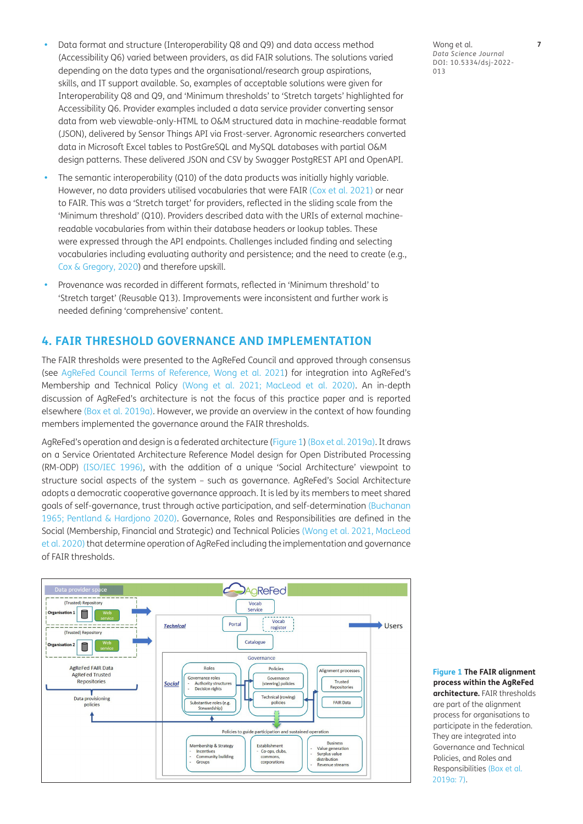- Data format and structure (Interoperability Q8 and Q9) and data access method (Accessibility Q6) varied between providers, as did FAIR solutions. The solutions varied depending on the data types and the organisational/research group aspirations, skills, and IT support available. So, examples of acceptable solutions were given for Interoperability Q8 and Q9, and 'Minimum thresholds' to 'Stretch targets' highlighted for Accessibility Q6. Provider examples included a data service provider converting sensor data from web viewable-only-HTML to O&M structured data in machine-readable format (JSON), delivered by Sensor Things API via Frost-server. Agronomic researchers converted data in Microsoft Excel tables to PostGreSQL and MySQL databases with partial O&M design patterns. These delivered JSON and CSV by Swagger PostgREST API and OpenAPI.
- The semantic interoperability (Q10) of the data products was initially highly variable. However, no data providers utilised vocabularies that were FAIR ([Cox et al. 2021](#page-10-13)) or near to FAIR. This was a 'Stretch target' for providers, reflected in the sliding scale from the 'Minimum threshold' (Q10). Providers described data with the URIs of external machinereadable vocabularies from within their database headers or lookup tables. These were expressed through the API endpoints. Challenges included finding and selecting vocabularies including evaluating authority and persistence; and the need to create (e.g., [Cox & Gregory, 2020](#page-10-14)) and therefore upskill.
- **•**  Provenance was recorded in different formats, reflected in 'Minimum threshold' to 'Stretch target' (Reusable Q13). Improvements were inconsistent and further work is needed defining 'comprehensive' content.

#### **4. FAIR THRESHOLD GOVERNANCE AND IMPLEMENTATION**

The FAIR thresholds were presented to the AgReFed Council and approved through consensus (see [AgReFed Council Terms of Reference, Wong et al. 2021](#page-9-4)) for integration into AgReFed's Membership and Technical Policy [\(Wong et al. 2021](#page-11-17); [MacLeod et al. 2020\)](#page-11-10). An in-depth discussion of AgReFed's architecture is not the focus of this practice paper and is reported elsewhere ([Box et al. 2019a](#page-10-9)). However, we provide an overview in the context of how founding members implemented the governance around the FAIR thresholds.

AgReFed's operation and design is a federated architecture ([Figure 1\)](#page-6-0) [\(Box et al. 2019a](#page-10-9)). It draws on a Service Orientated Architecture Reference Model design for Open Distributed Processing (RM-ODP) ([ISO/IEC 1996](#page-10-15)), with the addition of a unique 'Social Architecture' viewpoint to structure social aspects of the system – such as governance. AgReFed's Social Architecture adopts a democratic cooperative governance approach. It is led by its members to meet shared goals of self-governance, trust through active participation, and self-determination [\(Buchanan](#page-10-16)  [1965](#page-10-16); [Pentland & Hardjono 2020\)](#page-11-18). Governance, Roles and Responsibilities are defined in the Social (Membership, Financial and Strategic) and Technical Policies [\(Wong et al. 2021,](#page-11-17) [MacLeod](#page-11-10)  [et al. 2020\)](#page-11-10) that determine operation of AgReFed including the implementation and governance of FAIR thresholds.



Wong et al. **7** *Data Science Journal* DOI: 10.5334/dsj-2022- 013

<span id="page-6-0"></span>**Figure 1 The FAIR alignment process within the AgReFed architecture.** FAIR thresholds are part of the alignment process for organisations to participate in the federation. They are integrated into Governance and Technical Policies, and Roles and Responsibilities [\(Box et al.](#page-10-9)  [2019a: 7](#page-10-9)).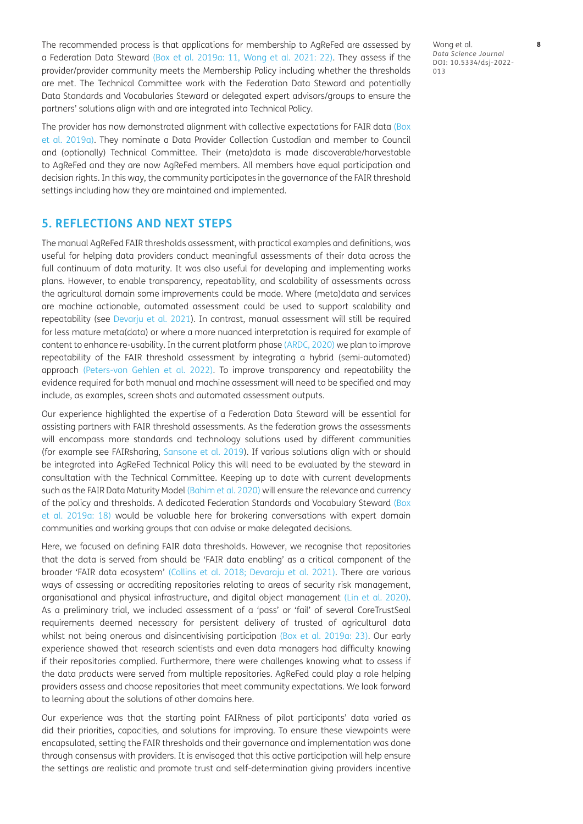The recommended process is that applications for membership to AgReFed are assessed by a Federation Data Steward [\(Box et al. 2019a: 11](#page-10-9), [Wong et al. 2021: 22\)](#page-11-17). They assess if the provider/provider community meets the Membership Policy including whether the thresholds are met. The Technical Committee work with the Federation Data Steward and potentially Data Standards and Vocabularies Steward or delegated expert advisors/groups to ensure the partners' solutions align with and are integrated into Technical Policy.

The provider has now demonstrated alignment with collective expectations for FAIR data [\(Box](#page-10-9)  [et al. 2019a](#page-10-9)). They nominate a Data Provider Collection Custodian and member to Council and (optionally) Technical Committee. Their (meta)data is made discoverable/harvestable to AgReFed and they are now AgReFed members. All members have equal participation and decision rights. In this way, the community participates in the governance of the FAIR threshold settings including how they are maintained and implemented.

## **5. REFLECTIONS AND NEXT STEPS**

The manual AgReFed FAIR thresholds assessment, with practical examples and definitions, was useful for helping data providers conduct meaningful assessments of their data across the full continuum of data maturity. It was also useful for developing and implementing works plans. However, to enable transparency, repeatability, and scalability of assessments across the agricultural domain some improvements could be made. Where (meta)data and services are machine actionable, automated assessment could be used to support scalability and repeatability (see [Devarju et al. 2021\)](#page-10-17). In contrast, manual assessment will still be required for less mature meta(data) or where a more nuanced interpretation is required for example of content to enhance re-usability. In the current platform phase ([ARDC, 2020](#page-9-5)) we plan to improve repeatability of the FAIR threshold assessment by integrating a hybrid (semi-automated) approach ([Peters-von Gehlen et al. 2022\)](#page-11-3). To improve transparency and repeatability the evidence required for both manual and machine assessment will need to be specified and may include, as examples, screen shots and automated assessment outputs.

Our experience highlighted the expertise of a Federation Data Steward will be essential for assisting partners with FAIR threshold assessments. As the federation grows the assessments will encompass more standards and technology solutions used by different communities (for example see FAIRsharing, [Sansone et al. 2019\)](#page-11-2). If various solutions align with or should be integrated into AgReFed Technical Policy this will need to be evaluated by the steward in consultation with the Technical Committee. Keeping up to date with current developments such as the FAIR Data Maturity Model ([Bahim et al. 2020](#page-9-3)) will ensure the relevance and currency of the policy and thresholds. A dedicated Federation Standards and Vocabulary Steward [\(Box](#page-10-9)  [et al. 2019a: 18\)](#page-10-9) would be valuable here for brokering conversations with expert domain communities and working groups that can advise or make delegated decisions.

Here, we focused on defining FAIR data thresholds. However, we recognise that repositories that the data is served from should be 'FAIR data enabling' as a critical component of the broader 'FAIR data ecosystem' ([Collins et al. 2018](#page-10-18); [Devaraju et al. 2021](#page-10-17)). There are various ways of assessing or accrediting repositories relating to areas of security risk management, organisational and physical infrastructure, and digital object management [\(Lin et al. 2020](#page-10-19)). As a preliminary trial, we included assessment of a 'pass' or 'fail' of several CoreTrustSeal requirements deemed necessary for persistent delivery of trusted of agricultural data whilst not being onerous and disincentivising participation ([Box et al. 2019a: 23](#page-10-9)). Our early experience showed that research scientists and even data managers had difficulty knowing if their repositories complied. Furthermore, there were challenges knowing what to assess if the data products were served from multiple repositories. AgReFed could play a role helping providers assess and choose repositories that meet community expectations. We look forward to learning about the solutions of other domains here.

Our experience was that the starting point FAIRness of pilot participants' data varied as did their priorities, capacities, and solutions for improving. To ensure these viewpoints were encapsulated, setting the FAIR thresholds and their governance and implementation was done through consensus with providers. It is envisaged that this active participation will help ensure the settings are realistic and promote trust and self-determination giving providers incentive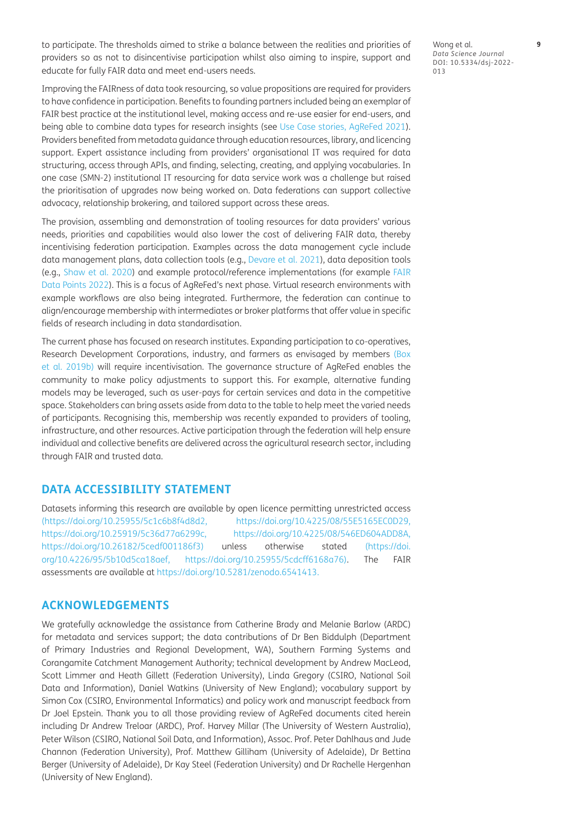to participate. The thresholds aimed to strike a balance between the realities and priorities of providers so as not to disincentivise participation whilst also aiming to inspire, support and educate for fully FAIR data and meet end-users needs.

Wong et al. **9** *Data Science Journal* DOI: 10.5334/dsj-2022- 013

Improving the FAIRness of data took resourcing, so value propositions are required for providers to have confidence in participation. Benefits to founding partners included being an exemplar of FAIR best practice at the institutional level, making access and re-use easier for end-users, and being able to combine data types for research insights (see [Use Case stories, AgReFed 2021](#page-11-9)). Providers benefited from metadata guidance through education resources, library, and licencing support. Expert assistance including from providers' organisational IT was required for data structuring, access through APIs, and finding, selecting, creating, and applying vocabularies. In one case (SMN-2) institutional IT resourcing for data service work was a challenge but raised the prioritisation of upgrades now being worked on. Data federations can support collective advocacy, relationship brokering, and tailored support across these areas.

The provision, assembling and demonstration of tooling resources for data providers' various needs, priorities and capabilities would also lower the cost of delivering FAIR data, thereby incentivising federation participation. Examples across the data management cycle include data management plans, data collection tools (e.g., [Devare et al. 2021\)](#page-10-20), data deposition tools (e.g., [Shaw et al. 2020\)](#page-11-19) and example protocol/reference implementations (for example [FAIR](#page-10-21)  [Data Points 2022](#page-10-21)). This is a focus of AgReFed's next phase. Virtual research environments with example workflows are also being integrated. Furthermore, the federation can continue to align/encourage membership with intermediates or broker platforms that offer value in specific fields of research including in data standardisation.

The current phase has focused on research institutes. Expanding participation to co-operatives, Research Development Corporations, industry, and farmers as envisaged by members [\(Box](#page-10-22)  [et al. 2019b](#page-10-22)) will require incentivisation. The governance structure of AgReFed enables the community to make policy adjustments to support this. For example, alternative funding models may be leveraged, such as user-pays for certain services and data in the competitive space. Stakeholders can bring assets aside from data to the table to help meet the varied needs of participants. Recognising this, membership was recently expanded to providers of tooling, infrastructure, and other resources. Active participation through the federation will help ensure individual and collective benefits are delivered across the agricultural research sector, including through FAIR and trusted data.

## **DATA ACCESSIBILITY STATEMENT**

Datasets informing this research are available by open licence permitting unrestricted access [\(https://doi.org/10.25955/5c1c6b8f4d8d2,](https://doi.org/10.25955/5c1c6b8f4d8d2) <https://doi.org/10.4225/08/55E5165EC0D29>, [https://doi.org/10.25919/5c36d77a6299c,](https://doi.org/10.25919/5c36d77a6299c) <https://doi.org/10.4225/08/546ED604ADD8A>, <https://doi.org/10.26182/5cedf001186f3>) unless otherwise stated [\(https://doi.](https://doi.org/10.4226/95/5b10d5ca18aef) [org/10.4226/95/5b10d5ca18aef,](https://doi.org/10.4226/95/5b10d5ca18aef) <https://doi.org/10.25955/5cdcff6168a76>). The FAIR assessments are available at [https://doi.org/10.5281/zenodo.6541413.](https://doi.org/10.5281/zenodo.6541413)

## **ACKNOWLEDGEMENTS**

We gratefully acknowledge the assistance from Catherine Brady and Melanie Barlow (ARDC) for metadata and services support; the data contributions of Dr Ben Biddulph (Department of Primary Industries and Regional Development, WA), Southern Farming Systems and Corangamite Catchment Management Authority; technical development by Andrew MacLeod, Scott Limmer and Heath Gillett (Federation University), Linda Gregory (CSIRO, National Soil Data and Information), Daniel Watkins (University of New England); vocabulary support by Simon Cox (CSIRO, Environmental Informatics) and policy work and manuscript feedback from Dr Joel Epstein. Thank you to all those providing review of AgReFed documents cited herein including Dr Andrew Treloar (ARDC), Prof. Harvey Millar (The University of Western Australia), Peter Wilson (CSIRO, National Soil Data, and Information), Assoc. Prof. Peter Dahlhaus and Jude Channon (Federation University), Prof. Matthew Gilliham (University of Adelaide), Dr Bettina Berger (University of Adelaide), Dr Kay Steel (Federation University) and Dr Rachelle Hergenhan (University of New England).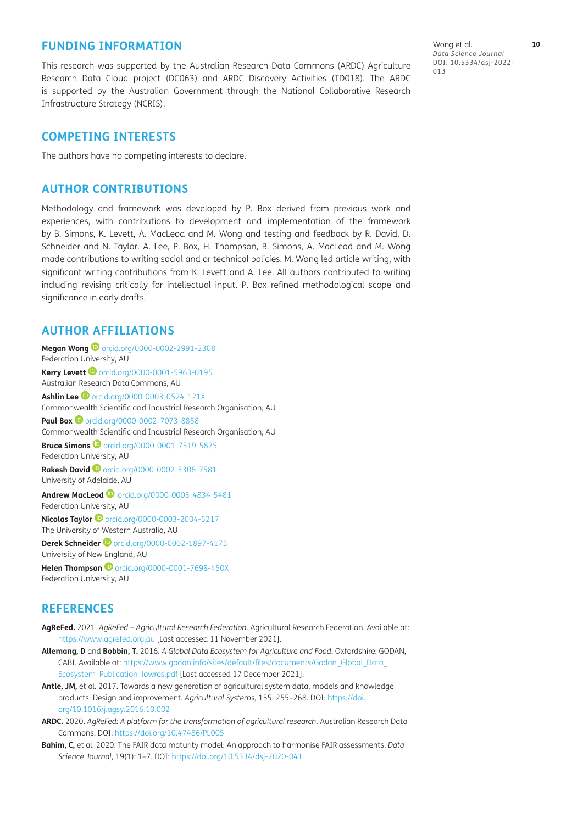#### **FUNDING INFORMATION**

This research was supported by the Australian Research Data Commons (ARDC) Agriculture Research Data Cloud project (DC063) and ARDC Discovery Activities (TD018). The ARDC is supported by the Australian Government through the National Collaborative Research Infrastructure Strategy (NCRIS).

Wong et al. **10** *Data Science Journal* DOI: 10.5334/dsj-2022- 013

## **COMPETING INTERESTS**

The authors have no competing interests to declare.

#### **AUTHOR CONTRIBUTIONS**

Methodology and framework was developed by P. Box derived from previous work and experiences, with contributions to development and implementation of the framework by B. Simons, K. Levett, A. MacLeod and M. Wong and testing and feedback by R. David, D. Schneider and N. Taylor. A. Lee, P. Box, H. Thompson, B. Simons, A. MacLeod and M. Wong made contributions to writing social and or technical policies. M. Wong led article writing, with significant writing contributions from K. Levett and A. Lee. All authors contributed to writing including revising critically for intellectual input. P. Box refined methodological scope and significance in early drafts.

## <span id="page-9-0"></span>**AUTHOR AFFILIATIONS**

**Megan Wong ©** [orcid.org/0000-0002-2991-2308](https://orcid.org/0000-0002-2991-2308) Federation University, AU **Kerry Levett ©** [orcid.org/0000-0001-5963-0195](https://orcid.org/0000-0001-5963-0195) Australian Research Data Commons, AU **Ashlin Lee**  $\bullet$  [orcid.org/0000-0003-0524-121X](https://orcid.org/0000-0003-0524-121X) Commonwealth Scientific and Industrial Research Organisation, AU **PaulBox**  $\bullet$  [orcid.org/0000-0002-7073-8858](https://orcid.org/0000-0002-7073-8858) Commonwealth Scientific and Industrial Research Organisation, AU **Bruce Simons**  $\bullet$  [orcid.org/0000-0001-7519-5875](https://orcid.org/0000-0001-7519-5875) Federation University, AU **Rakesh David**[orcid.org/0000-0002-3306-7581](https://orcid.org/0000-0002-3306-7581) University of Adelaide, AU **Andrew MacLeod**[orcid.org/0000-0003-4834-5481](https://orcid.org/0000-0003-4834-5481) Federation University, AU **Nicolas Taylor ©** [orcid.org/0000-0003-2004-5217](https://orcid.org/0000-0003-2004-5217) The University of Western Australia, AU **Derek Schneider**[orcid.org/0000-0002-1897-4175](https://orcid.org/0000-0002-1897-4175) University of New England, AU **Helen Thompson iD** [orcid.org/0000-0001-7698-450X](https://orcid.org/0000-0001-7698-450X) Federation University, AU

#### **REFERENCES**

- <span id="page-9-4"></span>**AgReFed.** 2021. *AgReFed – Agricultural Research Federation.* Agricultural Research Federation. Available at: <https://www.agrefed.org.au> [Last accessed 11 November 2021].
- <span id="page-9-1"></span>**Allemang, D** and **Bobbin, T.** 2016. *A Global Data Ecosystem for Agriculture and Food*. Oxfordshire: GODAN, CABI. Available at: [https://www.godan.info/sites/default/files/documents/Godan\\_Global\\_Data\\_](https://www.godan.info/sites/default/files/documents/Godan_Global_Data_Ecosystem_Publication_lowres.pdf) [Ecosystem\\_Publication\\_lowres.pdf](https://www.godan.info/sites/default/files/documents/Godan_Global_Data_Ecosystem_Publication_lowres.pdf) [Last accessed 17 December 2021].
- <span id="page-9-2"></span>**Antle, JM,** et al. 2017. Towards a new generation of agricultural system data, models and knowledge products: Design and improvement. *Agricultural Systems*, 155: 255–268. DOI: [https://doi.](https://doi.org/10.1016/j.agsy.2016.10.002) [org/10.1016/j.agsy.2016.10.002](https://doi.org/10.1016/j.agsy.2016.10.002)
- <span id="page-9-5"></span>**ARDC.** 2020. *AgReFed: A platform for the transformation of agricultural research*. Australian Research Data Commons. DOI:<https://doi.org/10.47486/PL005>
- <span id="page-9-3"></span>**Bahim, C,** et al. 2020. The FAIR data maturity model: An approach to harmonise FAIR assessments. *Data Science Journal,* 19(1): 1–7. DOI:<https://doi.org/10.5334/dsj-2020-041>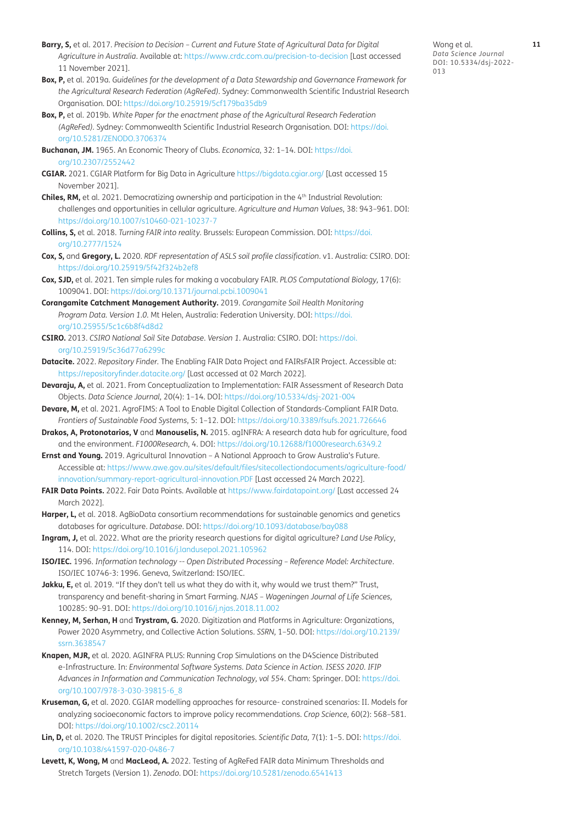- <span id="page-10-2"></span>**Barry, S,** et al. 2017. *Precision to Decision – Current and Future State of Agricultural Data for Digital Agriculture in Australia*. Available at:<https://www.crdc.com.au/precision-to-decision>[Last accessed 11 November 2021].
- <span id="page-10-9"></span>**Box, P,** et al. 2019a. *Guidelines for the development of a Data Stewardship and Governance Framework for the Agricultural Research Federation (AgReFed).* Sydney: Commonwealth Scientific Industrial Research Organisation*.* DOI:<https://doi.org/10.25919/5cf179ba35db9>
- <span id="page-10-22"></span>**Box, P,** et al. 2019b. *White Paper for the enactment phase of the Agricultural Research Federation (AgReFed).* Sydney: Commonwealth Scientific Industrial Research Organisation*.* DOI: [https://doi.](https://doi.org/10.5281/ZENODO.3706374) [org/10.5281/ZENODO.3706374](https://doi.org/10.5281/ZENODO.3706374)
- <span id="page-10-16"></span>**Buchanan, JM.** 1965. An Economic Theory of Clubs. *Economica*, 32: 1–14. DOI: [https://doi.](https://doi.org/10.2307/2552442) [org/10.2307/2552442](https://doi.org/10.2307/2552442)
- <span id="page-10-8"></span>**CGIAR.** 2021. CGIAR Platform for Big Data in Agriculture<https://bigdata.cgiar.org/>[Last accessed 15 November 2021].
- <span id="page-10-3"></span>**Chiles, RM,** et al. 2021. Democratizing ownership and participation in the 4<sup>th</sup> Industrial Revolution: challenges and opportunities in cellular agriculture. *Agriculture and Human Values*, 38: 943–961. DOI: <https://doi.org/10.1007/s10460-021-10237-7>
- <span id="page-10-18"></span>**Collins, S,** et al. 2018. *Turning FAIR into reality.* Brussels: European Commission. DOI: [https://doi.](https://doi.org/10.2777/1524) [org/10.2777/1524](https://doi.org/10.2777/1524)
- <span id="page-10-14"></span>**Cox, S,** and **Gregory, L.** 2020. *RDF representation of ASLS soil profile classification*. v1. Australia: CSIRO. DOI: <https://doi.org/10.25919/5f42f324b2ef8>
- <span id="page-10-13"></span>**Cox, SJD,** et al. 2021. Ten simple rules for making a vocabulary FAIR. *PLOS Computational Biology,* 17(6): 1009041. DOI:<https://doi.org/10.1371/journal.pcbi.1009041>
- <span id="page-10-10"></span>**Corangamite Catchment Management Authority.** 2019. *Corangamite Soil Health Monitoring Program Data. Version 1.0.* Mt Helen, Australia: Federation University. DOI: [https://doi.](https://doi.org/10.25955/5c1c6b8f4d8d2) [org/10.25955/5c1c6b8f4d8d2](https://doi.org/10.25955/5c1c6b8f4d8d2)
- <span id="page-10-11"></span>**CSIRO.** 2013. *CSIRO National Soil Site Database. Version 1.* Australia: CSIRO. DOI: [https://doi.](https://doi.org/10.25919/5c36d77a6299c) [org/10.25919/5c36d77a6299c](https://doi.org/10.25919/5c36d77a6299c)
- <span id="page-10-4"></span>**Datacite.** 2022. *Repository Finder.* The Enabling FAIR Data Project and FAIRsFAIR Project. Accessible at: <https://repositoryfinder.datacite.org/> [Last accessed at 02 March 2022].
- <span id="page-10-17"></span>**Devaraju, A,** et al. 2021. From Conceptualization to Implementation: FAIR Assessment of Research Data Objects. *Data Science Journal,* 20(4): 1–14. DOI:<https://doi.org/10.5334/dsj-2021-004>
- <span id="page-10-20"></span>**Devare, M,** et al. 2021. AgroFIMS: A Tool to Enable Digital Collection of Standards-Compliant FAIR Data. *Frontiers of Sustainable Food Systems*, 5: 1–12. DOI: <https://doi.org/10.3389/fsufs.2021.726646>
- <span id="page-10-7"></span>**Drakos, A, Protonotarios, V** and **Manouselis, N.** 2015. agINFRA: A research data hub for agriculture, food and the environment. *F1000Research*, 4. DOI:<https://doi.org/10.12688/f1000research.6349.2>
- **Ernst and Young.** 2019. Agricultural Innovation A National Approach to Grow Australia's Future. Accessible at: [https://www.awe.gov.au/sites/default/files/sitecollectiondocuments/agriculture-food/](https://www.awe.gov.au/sites/default/files/sitecollectiondocuments/agriculture-food/innovation/summary-report-agricultural-innovation.PDF) [innovation/summary-report-agricultural-innovation.PDF](https://www.awe.gov.au/sites/default/files/sitecollectiondocuments/agriculture-food/innovation/summary-report-agricultural-innovation.PDF) [Last accessed 24 March 2022].
- <span id="page-10-21"></span>**FAIR Data Points.** 2022. Fair Data Points. Available at<https://www.fairdatapoint.org/> [Last accessed 24 March 2022].
- Harper, L, et al. 2018. AgBioData consortium recommendations for sustainable genomics and genetics databases for agriculture. *Database*. DOI: <https://doi.org/10.1093/database/bay088>
- <span id="page-10-1"></span>**Ingram, J,** et al. 2022. What are the priority research questions for digital agriculture? *Land Use Policy*, 114. DOI: <https://doi.org/10.1016/j.landusepol.2021.105962>
- <span id="page-10-15"></span>**ISO/IEC.** 1996. *Information technology -- Open Distributed Processing – Reference Model: Architecture*. ISO/IEC 10746-3: 1996. Geneva, Switzerland: ISO/IEC.
- **Jakku, E,** et al. 2019. "If they don't tell us what they do with it, why would we trust them?" Trust, transparency and benefit-sharing in Smart Farming. *NJAS – Wageningen Journal of Life Sciences,*  100285: 90–91. DOI: <https://doi.org/10.1016/j.njas.2018.11.002>
- <span id="page-10-0"></span>**Kenney, M, Serhan, H** and **Trystram, G.** 2020. Digitization and Platforms in Agriculture: Organizations, Power 2020 Asymmetry, and Collective Action Solutions. *SSRN,* 1–50. DOI: [https://doi.org/10.2139/](https://doi.org/10.2139/ssrn.3638547) [ssrn.3638547](https://doi.org/10.2139/ssrn.3638547)
- <span id="page-10-5"></span>**Knapen, MJR,** et al. 2020. AGINFRA PLUS: Running Crop Simulations on the D4Science Distributed e-Infrastructure. In: *Environmental Software Systems. Data Science in Action. ISESS 2020. IFIP Advances in Information and Communication Technology, vol 554*. Cham: Springer. DOI: [https://doi.](https://doi.org/10.1007/978-3-030-39815-6_8) [org/10.1007/978-3-030-39815-6\\_8](https://doi.org/10.1007/978-3-030-39815-6_8)
- <span id="page-10-6"></span>**Kruseman, G,** et al. 2020. CGIAR modelling approaches for resource- constrained scenarios: II. Models for analyzing socioeconomic factors to improve policy recommendations. *Crop Science,* 60(2): 568–581. DOI:<https://doi.org/10.1002/csc2.20114>
- <span id="page-10-19"></span>**Lin, D,** et al. 2020. The TRUST Principles for digital repositories. *Scientific Data,* 7(1): 1–5. DOI: [https://doi.](https://doi.org/10.1038/s41597-020-0486-7) [org/10.1038/s41597-020-0486-7](https://doi.org/10.1038/s41597-020-0486-7)
- <span id="page-10-12"></span>**Levett, K, Wong, M** and **MacLeod, A.** 2022. Testing of AgReFed FAIR data Minimum Thresholds and Stretch Targets (Version 1). *Zenodo*. DOI:<https://doi.org/10.5281/zenodo.6541413>

Wong et al. **11** *Data Science Journal* DOI: 10.5334/dsj-2022- 013